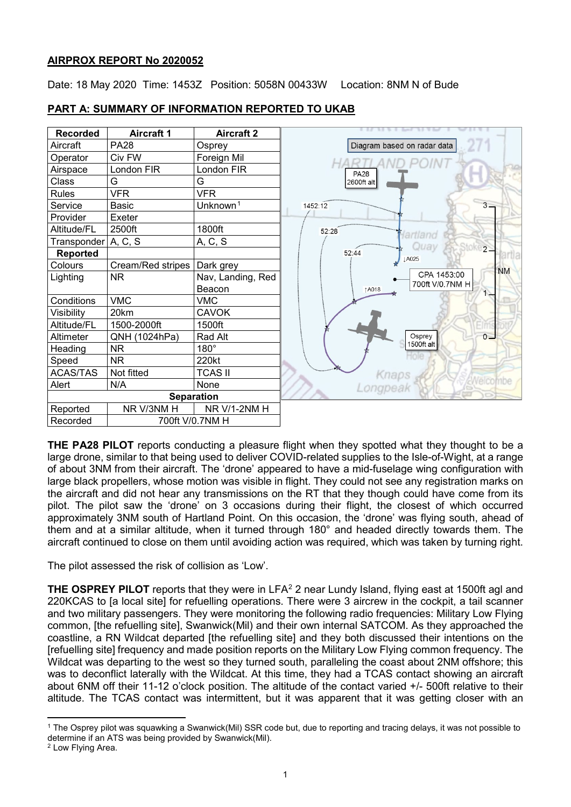#### **AIRPROX REPORT No 2020052**

Date: 18 May 2020 Time: 1453Z Position: 5058N 00433W Location: 8NM N of Bude

| <b>Recorded</b> | <b>Aircraft 1</b> | <b>Aircraft 2</b>    |
|-----------------|-------------------|----------------------|
| Aircraft        | <b>PA28</b>       | Osprey               |
| Operator        | Civ FW            | Foreign Mil          |
| Airspace        | London FIR        | London FIR           |
| Class           | G                 | G                    |
| <b>Rules</b>    | <b>VFR</b>        | <b>VFR</b>           |
| Service         | <b>Basic</b>      | Unknown <sup>1</sup> |
| Provider        | Exeter            |                      |
| Altitude/FL     | 2500ft            | 1800ft               |
| Transponder     | A, C, S           | A, C, S              |
| Reported        |                   |                      |
| Colours         | Cream/Red stripes | Dark grey            |
| Lighting        | ΝR                | Nav, Landing, Red    |
|                 |                   | Beacon               |
| Conditions      | <b>VMC</b>        | <b>VMC</b>           |
| Visibility      | 20km              | <b>CAVOK</b>         |
| Altitude/FL     | 1500-2000ft       | 1500ft               |
| Altimeter       | QNH (1024hPa)     | Rad Alt              |
| Heading         | ΝR                | $180^\circ$          |
| Speed           | ΝR                | 220kt                |
| <b>ACAS/TAS</b> | Not fitted        | <b>TCAS II</b>       |
| Alert           | N/A               | None                 |
|                 | <b>Separation</b> |                      |
| Reported        | NR V/3NM H        | NR V/1-2NM H         |
| Recorded        | 700ft V/0.7NM H   |                      |

### **PART A: SUMMARY OF INFORMATION REPORTED TO UKAB**



**THE PA28 PILOT** reports conducting a pleasure flight when they spotted what they thought to be a large drone, similar to that being used to deliver COVID-related supplies to the Isle-of-Wight, at a range of about 3NM from their aircraft. The 'drone' appeared to have a mid-fuselage wing configuration with large black propellers, whose motion was visible in flight. They could not see any registration marks on the aircraft and did not hear any transmissions on the RT that they though could have come from its pilot. The pilot saw the 'drone' on 3 occasions during their flight, the closest of which occurred approximately 3NM south of Hartland Point. On this occasion, the 'drone' was flying south, ahead of them and at a similar altitude, when it turned through 180° and headed directly towards them. The aircraft continued to close on them until avoiding action was required, which was taken by turning right.

The pilot assessed the risk of collision as 'Low'.

**THE OSPREY PILOT** reports that they were in LFA<sup>[2](#page-0-1)</sup> 2 near Lundy Island, flying east at 1500ft agl and 220KCAS to [a local site] for refuelling operations. There were 3 aircrew in the cockpit, a tail scanner and two military passengers. They were monitoring the following radio frequencies: Military Low Flying common, [the refuelling site], Swanwick(Mil) and their own internal SATCOM. As they approached the coastline, a RN Wildcat departed [the refuelling site] and they both discussed their intentions on the [refuelling site] frequency and made position reports on the Military Low Flying common frequency. The Wildcat was departing to the west so they turned south, paralleling the coast about 2NM offshore; this was to deconflict laterally with the Wildcat. At this time, they had a TCAS contact showing an aircraft about 6NM off their 11-12 o'clock position. The altitude of the contact varied +/- 500ft relative to their altitude. The TCAS contact was intermittent, but it was apparent that it was getting closer with an

l

<span id="page-0-0"></span><sup>1</sup> The Osprey pilot was squawking a Swanwick(Mil) SSR code but, due to reporting and tracing delays, it was not possible to determine if an ATS was being provided by Swanwick(Mil).

<span id="page-0-1"></span><sup>2</sup> Low Flying Area.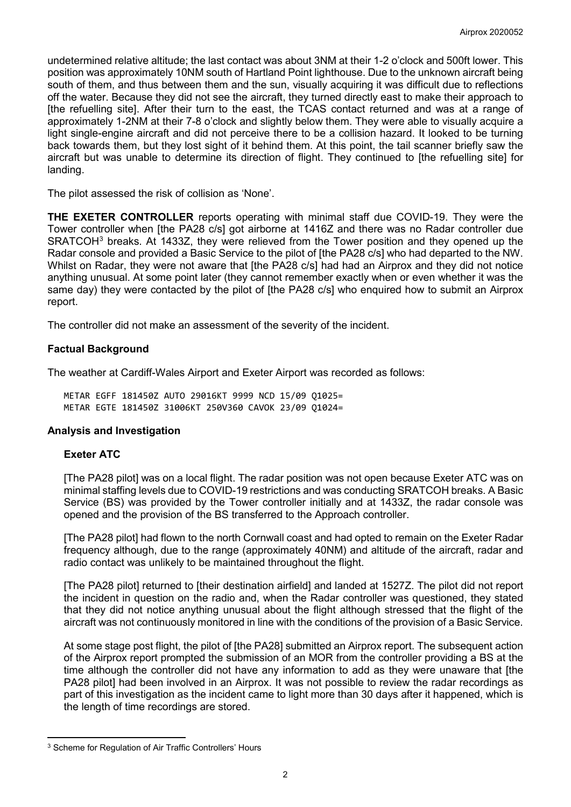undetermined relative altitude; the last contact was about 3NM at their 1-2 o'clock and 500ft lower. This position was approximately 10NM south of Hartland Point lighthouse. Due to the unknown aircraft being south of them, and thus between them and the sun, visually acquiring it was difficult due to reflections off the water. Because they did not see the aircraft, they turned directly east to make their approach to [the refuelling site]. After their turn to the east, the TCAS contact returned and was at a range of approximately 1-2NM at their 7-8 o'clock and slightly below them. They were able to visually acquire a light single-engine aircraft and did not perceive there to be a collision hazard. It looked to be turning back towards them, but they lost sight of it behind them. At this point, the tail scanner briefly saw the aircraft but was unable to determine its direction of flight. They continued to [the refuelling site] for landing.

The pilot assessed the risk of collision as 'None'.

**THE EXETER CONTROLLER** reports operating with minimal staff due COVID-19. They were the Tower controller when [the PA28 c/s] got airborne at 1416Z and there was no Radar controller due SRATCOH<sup>[3](#page-1-0)</sup> breaks. At 1433Z, they were relieved from the Tower position and they opened up the Radar console and provided a Basic Service to the pilot of [the PA28 c/s] who had departed to the NW. Whilst on Radar, they were not aware that [the PA28 c/s] had had an Airprox and they did not notice anything unusual. At some point later (they cannot remember exactly when or even whether it was the same day) they were contacted by the pilot of [the PA28 c/s] who enquired how to submit an Airprox report.

The controller did not make an assessment of the severity of the incident.

### **Factual Background**

The weather at Cardiff-Wales Airport and Exeter Airport was recorded as follows:

METAR EGFF 181450Z AUTO 29016KT 9999 NCD 15/09 Q1025= METAR EGTE 181450Z 31006KT 250V360 CAVOK 23/09 Q1024=

### **Analysis and Investigation**

#### **Exeter ATC**

l

[The PA28 pilot] was on a local flight. The radar position was not open because Exeter ATC was on minimal staffing levels due to COVID-19 restrictions and was conducting SRATCOH breaks. A Basic Service (BS) was provided by the Tower controller initially and at 1433Z, the radar console was opened and the provision of the BS transferred to the Approach controller.

[The PA28 pilot] had flown to the north Cornwall coast and had opted to remain on the Exeter Radar frequency although, due to the range (approximately 40NM) and altitude of the aircraft, radar and radio contact was unlikely to be maintained throughout the flight.

[The PA28 pilot] returned to [their destination airfield] and landed at 1527Z. The pilot did not report the incident in question on the radio and, when the Radar controller was questioned, they stated that they did not notice anything unusual about the flight although stressed that the flight of the aircraft was not continuously monitored in line with the conditions of the provision of a Basic Service.

At some stage post flight, the pilot of [the PA28] submitted an Airprox report. The subsequent action of the Airprox report prompted the submission of an MOR from the controller providing a BS at the time although the controller did not have any information to add as they were unaware that [the PA28 pilot] had been involved in an Airprox. It was not possible to review the radar recordings as part of this investigation as the incident came to light more than 30 days after it happened, which is the length of time recordings are stored.

<span id="page-1-0"></span><sup>&</sup>lt;sup>3</sup> Scheme for Regulation of Air Traffic Controllers' Hours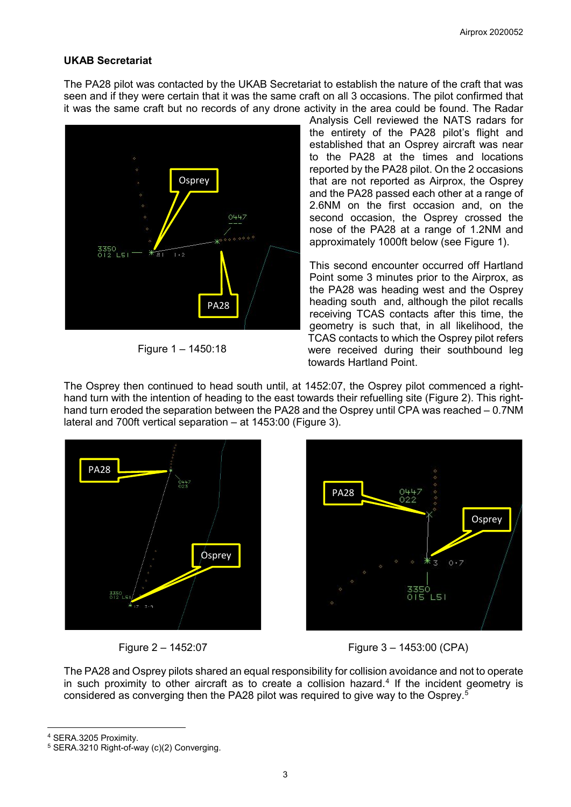# **UKAB Secretariat**

The PA28 pilot was contacted by the UKAB Secretariat to establish the nature of the craft that was seen and if they were certain that it was the same craft on all 3 occasions. The pilot confirmed that it was the same craft but no records of any drone activity in the area could be found. The Radar



Figure 1 – 1450:18

Analysis Cell reviewed the NATS radars for the entirety of the PA28 pilot's flight and established that an Osprey aircraft was near to the PA28 at the times and locations reported by the PA28 pilot. On the 2 occasions that are not reported as Airprox, the Osprey and the PA28 passed each other at a range of 2.6NM on the first occasion and, on the second occasion, the Osprey crossed the nose of the PA28 at a range of 1.2NM and approximately 1000ft below (see Figure 1).

This second encounter occurred off Hartland Point some 3 minutes prior to the Airprox, as the PA28 was heading west and the Osprey heading south and, although the pilot recalls receiving TCAS contacts after this time, the geometry is such that, in all likelihood, the TCAS contacts to which the Osprey pilot refers were received during their southbound leg towards Hartland Point.

The Osprey then continued to head south until, at 1452:07, the Osprey pilot commenced a righthand turn with the intention of heading to the east towards their refuelling site (Figure 2). This righthand turn eroded the separation between the PA28 and the Osprey until CPA was reached – 0.7NM lateral and 700ft vertical separation – at 1453:00 (Figure 3).





Figure 2 – 1452:07 Figure 3 – 1453:00 (CPA)

The PA28 and Osprey pilots shared an equal responsibility for collision avoidance and not to operate in such proximity to other aircraft as to create a collision hazard. [4](#page-2-0) If the incident geometry is considered as converging then the PA28 pilot was required to give way to the Osprey. [5](#page-2-1)

<span id="page-2-0"></span><sup>4</sup> SERA.3205 Proximity.

 $\overline{\phantom{a}}$ 

<span id="page-2-1"></span><sup>5</sup> SERA.3210 Right-of-way (c)(2) Converging.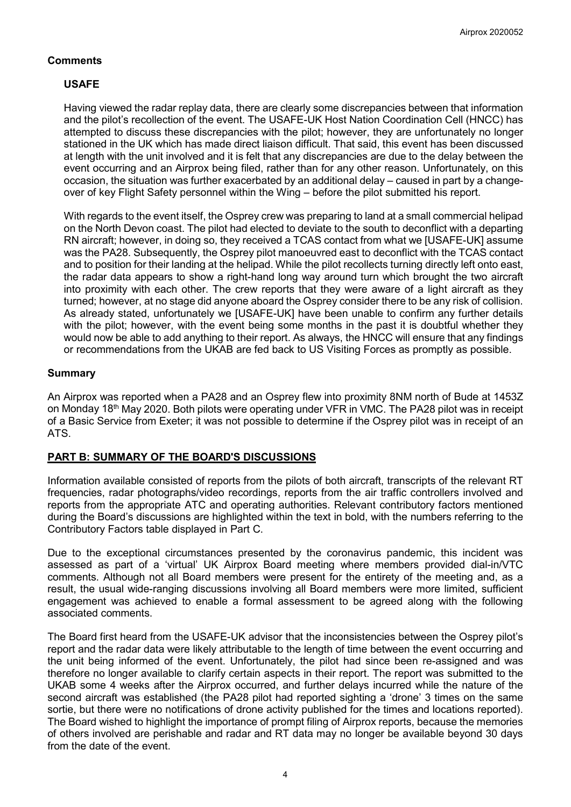# **Comments**

# **USAFE**

Having viewed the radar replay data, there are clearly some discrepancies between that information and the pilot's recollection of the event. The USAFE-UK Host Nation Coordination Cell (HNCC) has attempted to discuss these discrepancies with the pilot; however, they are unfortunately no longer stationed in the UK which has made direct liaison difficult. That said, this event has been discussed at length with the unit involved and it is felt that any discrepancies are due to the delay between the event occurring and an Airprox being filed, rather than for any other reason. Unfortunately, on this occasion, the situation was further exacerbated by an additional delay – caused in part by a changeover of key Flight Safety personnel within the Wing – before the pilot submitted his report.

With regards to the event itself, the Osprey crew was preparing to land at a small commercial helipad on the North Devon coast. The pilot had elected to deviate to the south to deconflict with a departing RN aircraft; however, in doing so, they received a TCAS contact from what we [USAFE-UK] assume was the PA28. Subsequently, the Osprey pilot manoeuvred east to deconflict with the TCAS contact and to position for their landing at the helipad. While the pilot recollects turning directly left onto east, the radar data appears to show a right-hand long way around turn which brought the two aircraft into proximity with each other. The crew reports that they were aware of a light aircraft as they turned; however, at no stage did anyone aboard the Osprey consider there to be any risk of collision. As already stated, unfortunately we [USAFE-UK] have been unable to confirm any further details with the pilot; however, with the event being some months in the past it is doubtful whether they would now be able to add anything to their report. As always, the HNCC will ensure that any findings or recommendations from the UKAB are fed back to US Visiting Forces as promptly as possible.

### **Summary**

An Airprox was reported when a PA28 and an Osprey flew into proximity 8NM north of Bude at 1453Z on Monday 18th May 2020. Both pilots were operating under VFR in VMC. The PA28 pilot was in receipt of a Basic Service from Exeter; it was not possible to determine if the Osprey pilot was in receipt of an ATS.

### **PART B: SUMMARY OF THE BOARD'S DISCUSSIONS**

Information available consisted of reports from the pilots of both aircraft, transcripts of the relevant RT frequencies, radar photographs/video recordings, reports from the air traffic controllers involved and reports from the appropriate ATC and operating authorities. Relevant contributory factors mentioned during the Board's discussions are highlighted within the text in bold, with the numbers referring to the Contributory Factors table displayed in Part C.

Due to the exceptional circumstances presented by the coronavirus pandemic, this incident was assessed as part of a 'virtual' UK Airprox Board meeting where members provided dial-in/VTC comments. Although not all Board members were present for the entirety of the meeting and, as a result, the usual wide-ranging discussions involving all Board members were more limited, sufficient engagement was achieved to enable a formal assessment to be agreed along with the following associated comments.

The Board first heard from the USAFE-UK advisor that the inconsistencies between the Osprey pilot's report and the radar data were likely attributable to the length of time between the event occurring and the unit being informed of the event. Unfortunately, the pilot had since been re-assigned and was therefore no longer available to clarify certain aspects in their report. The report was submitted to the UKAB some 4 weeks after the Airprox occurred, and further delays incurred while the nature of the second aircraft was established (the PA28 pilot had reported sighting a 'drone' 3 times on the same sortie, but there were no notifications of drone activity published for the times and locations reported). The Board wished to highlight the importance of prompt filing of Airprox reports, because the memories of others involved are perishable and radar and RT data may no longer be available beyond 30 days from the date of the event.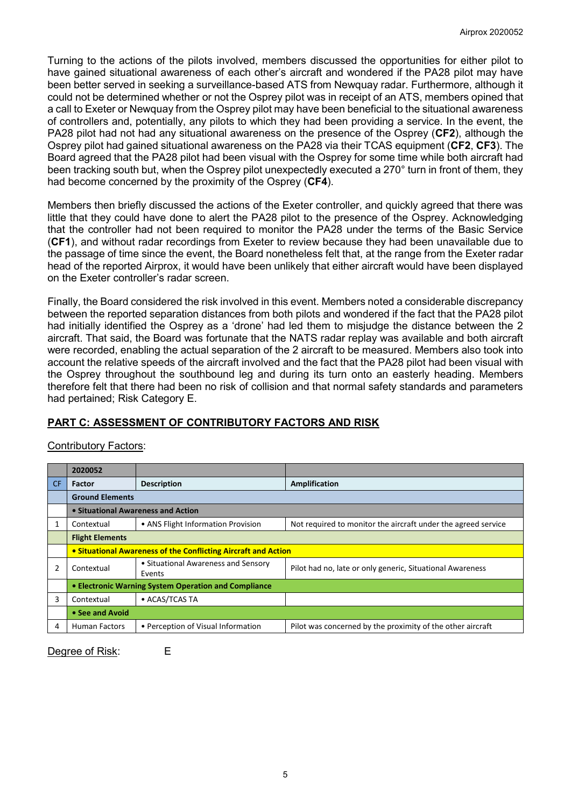Turning to the actions of the pilots involved, members discussed the opportunities for either pilot to have gained situational awareness of each other's aircraft and wondered if the PA28 pilot may have been better served in seeking a surveillance-based ATS from Newquay radar. Furthermore, although it could not be determined whether or not the Osprey pilot was in receipt of an ATS, members opined that a call to Exeter or Newquay from the Osprey pilot may have been beneficial to the situational awareness of controllers and, potentially, any pilots to which they had been providing a service. In the event, the PA28 pilot had not had any situational awareness on the presence of the Osprey (**CF2**), although the Osprey pilot had gained situational awareness on the PA28 via their TCAS equipment (**CF2**, **CF3**). The Board agreed that the PA28 pilot had been visual with the Osprey for some time while both aircraft had been tracking south but, when the Osprey pilot unexpectedly executed a 270° turn in front of them, they had become concerned by the proximity of the Osprey (**CF4**).

Members then briefly discussed the actions of the Exeter controller, and quickly agreed that there was little that they could have done to alert the PA28 pilot to the presence of the Osprey. Acknowledging that the controller had not been required to monitor the PA28 under the terms of the Basic Service (**CF1**), and without radar recordings from Exeter to review because they had been unavailable due to the passage of time since the event, the Board nonetheless felt that, at the range from the Exeter radar head of the reported Airprox, it would have been unlikely that either aircraft would have been displayed on the Exeter controller's radar screen.

Finally, the Board considered the risk involved in this event. Members noted a considerable discrepancy between the reported separation distances from both pilots and wondered if the fact that the PA28 pilot had initially identified the Osprey as a 'drone' had led them to misjudge the distance between the 2 aircraft. That said, the Board was fortunate that the NATS radar replay was available and both aircraft were recorded, enabling the actual separation of the 2 aircraft to be measured. Members also took into account the relative speeds of the aircraft involved and the fact that the PA28 pilot had been visual with the Osprey throughout the southbound leg and during its turn onto an easterly heading. Members therefore felt that there had been no risk of collision and that normal safety standards and parameters had pertained; Risk Category E.

# **PART C: ASSESSMENT OF CONTRIBUTORY FACTORS AND RISK**

|     | 2020052                                                        |                                               |                                                               |  |
|-----|----------------------------------------------------------------|-----------------------------------------------|---------------------------------------------------------------|--|
| CF. | <b>Factor</b>                                                  | <b>Description</b>                            | Amplification                                                 |  |
|     | <b>Ground Elements</b>                                         |                                               |                                                               |  |
|     | • Situational Awareness and Action                             |                                               |                                                               |  |
|     | Contextual                                                     | • ANS Flight Information Provision            | Not required to monitor the aircraft under the agreed service |  |
|     | <b>Flight Elements</b>                                         |                                               |                                                               |  |
|     | • Situational Awareness of the Conflicting Aircraft and Action |                                               |                                                               |  |
| 2   | Contextual                                                     | • Situational Awareness and Sensory<br>Events | Pilot had no, late or only generic, Situational Awareness     |  |
|     | • Electronic Warning System Operation and Compliance           |                                               |                                                               |  |
| 3   | Contextual                                                     | • ACAS/TCAS TA                                |                                                               |  |
|     | • See and Avoid                                                |                                               |                                                               |  |
| 4   | <b>Human Factors</b>                                           | • Perception of Visual Information            | Pilot was concerned by the proximity of the other aircraft    |  |

# Contributory Factors:

Degree of Risk: E

5